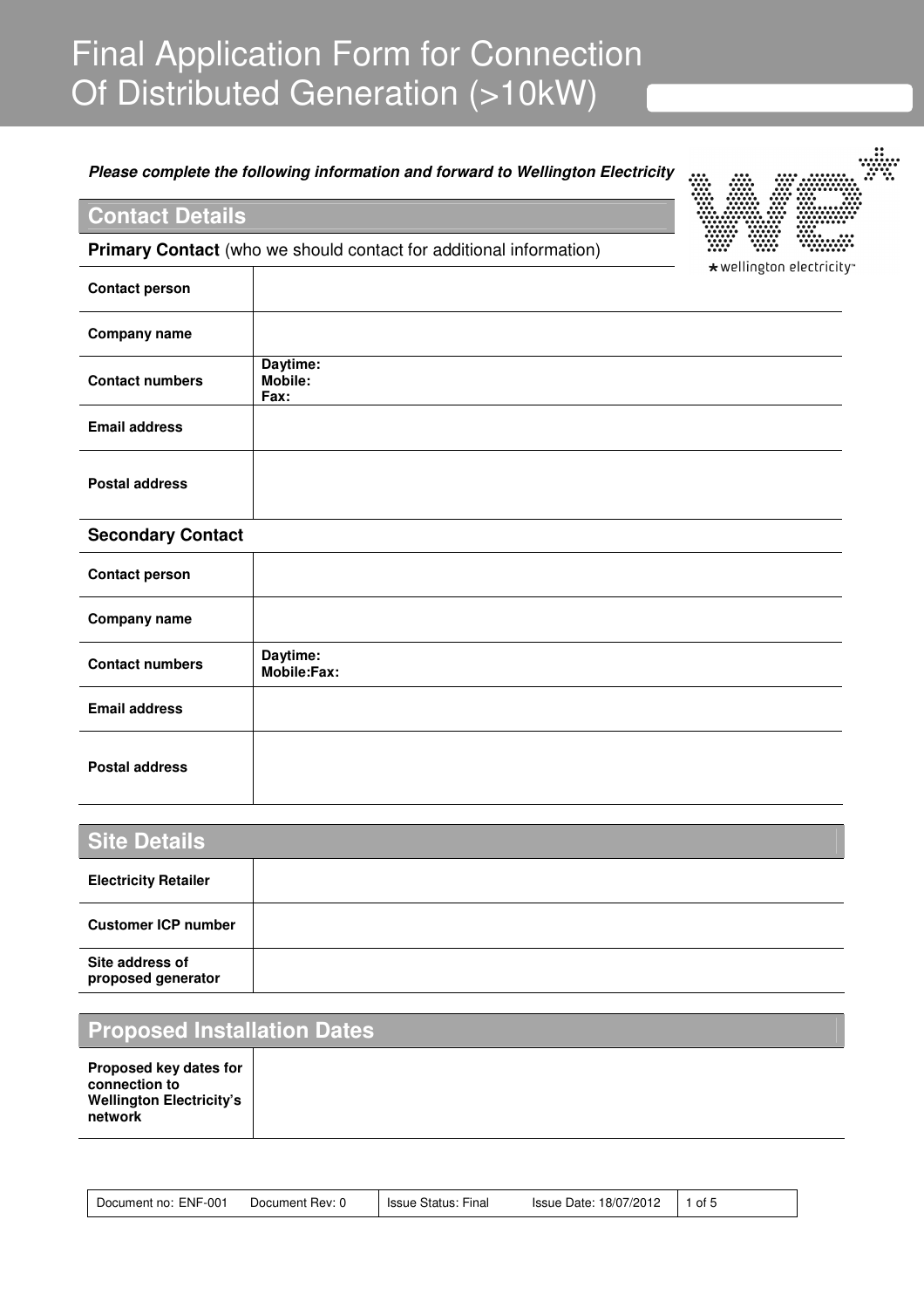# Final Application Form for Connection Of Distributed Generation (>10kW)

### **Please complete the following information and forward to Wellington Electricity**

# **Contact Details**

**Primary Contact** (who we should contact for additional information)



| <b>Contact person</b>  | ັ                                  |
|------------------------|------------------------------------|
| <b>Company name</b>    |                                    |
| <b>Contact numbers</b> | Daytime:<br><b>Mobile:</b><br>Fax: |
| <b>Email address</b>   |                                    |
| <b>Postal address</b>  |                                    |

#### **Secondary Contact**

| <b>Contact person</b>  |                         |
|------------------------|-------------------------|
| <b>Company name</b>    |                         |
| <b>Contact numbers</b> | Daytime:<br>Mobile:Fax: |
| <b>Email address</b>   |                         |
| <b>Postal address</b>  |                         |

| <b>Site Details</b>                   |  |
|---------------------------------------|--|
| <b>Electricity Retailer</b>           |  |
| <b>Customer ICP number</b>            |  |
| Site address of<br>proposed generator |  |

# **Proposed Installation Dates**

| Document no: ENF-001<br>Document Rev: 0 | Issue Status: Final | Issue Date: 18/07/2012 1 of 5 |  |
|-----------------------------------------|---------------------|-------------------------------|--|
|-----------------------------------------|---------------------|-------------------------------|--|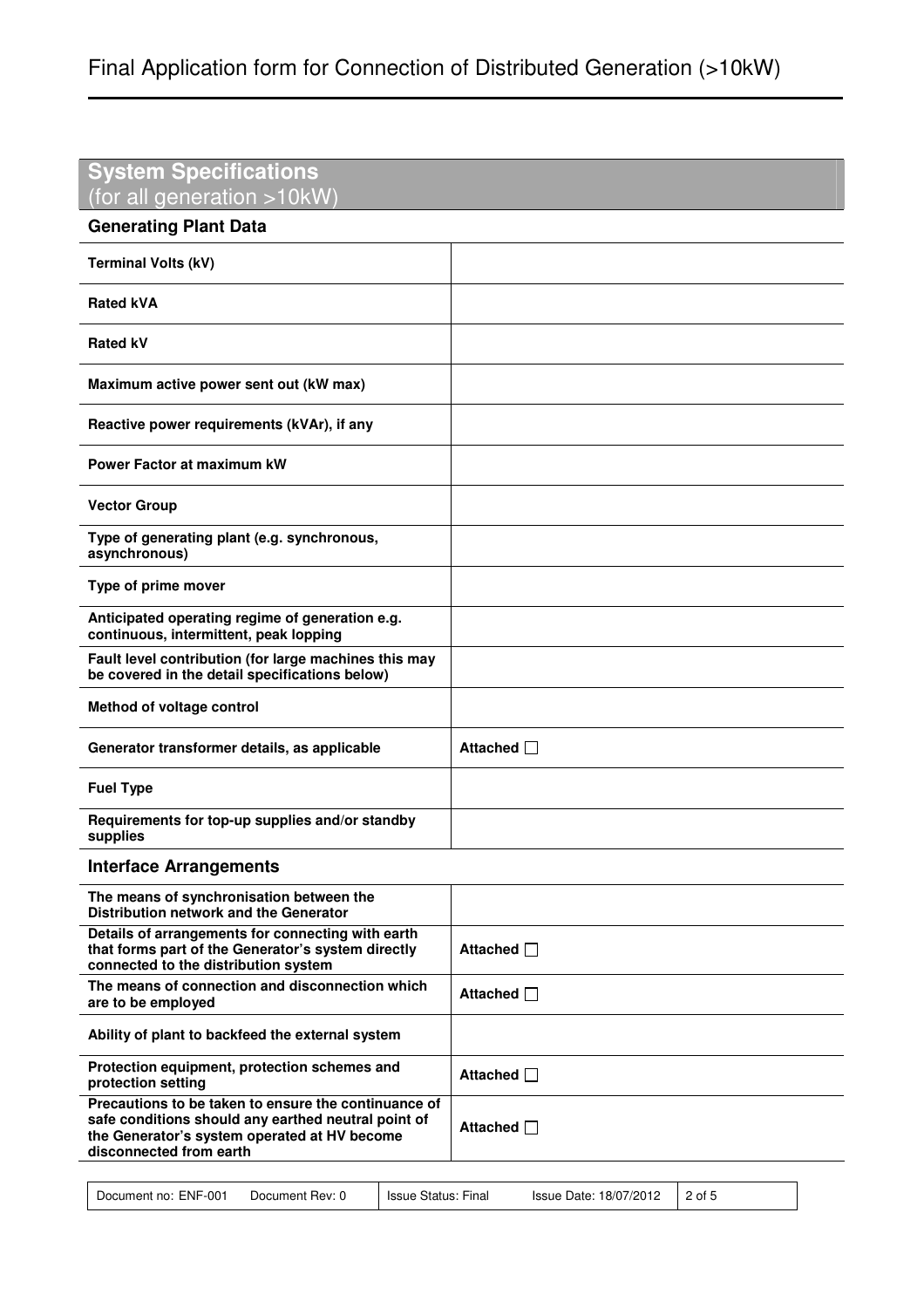| <b>System Specifications</b><br>(for all generation >10kW)                                                                                                                             |                   |
|----------------------------------------------------------------------------------------------------------------------------------------------------------------------------------------|-------------------|
| <b>Generating Plant Data</b>                                                                                                                                                           |                   |
| <b>Terminal Volts (kV)</b>                                                                                                                                                             |                   |
| <b>Rated kVA</b>                                                                                                                                                                       |                   |
| <b>Rated kV</b>                                                                                                                                                                        |                   |
| Maximum active power sent out (kW max)                                                                                                                                                 |                   |
| Reactive power requirements (kVAr), if any                                                                                                                                             |                   |
| <b>Power Factor at maximum kW</b>                                                                                                                                                      |                   |
| <b>Vector Group</b>                                                                                                                                                                    |                   |
| Type of generating plant (e.g. synchronous,<br>asynchronous)                                                                                                                           |                   |
| Type of prime mover                                                                                                                                                                    |                   |
| Anticipated operating regime of generation e.g.<br>continuous, intermittent, peak lopping                                                                                              |                   |
| Fault level contribution (for large machines this may<br>be covered in the detail specifications below)                                                                                |                   |
| Method of voltage control                                                                                                                                                              |                   |
| Generator transformer details, as applicable                                                                                                                                           | Attached $\Box$   |
| <b>Fuel Type</b>                                                                                                                                                                       |                   |
| Requirements for top-up supplies and/or standby<br>supplies                                                                                                                            |                   |
| <b>Interface Arrangements</b>                                                                                                                                                          |                   |
| The means of synchronisation between the<br><b>Distribution network and the Generator</b>                                                                                              |                   |
| Details of arrangements for connecting with earth<br>that forms part of the Generator's system directly<br>connected to the distribution system                                        | Attached $\Box$   |
| The means of connection and disconnection which<br>are to be employed                                                                                                                  | Attached <b>I</b> |
| Ability of plant to backfeed the external system                                                                                                                                       |                   |
| Protection equipment, protection schemes and<br>protection setting                                                                                                                     | Attached $\Box$   |
| Precautions to be taken to ensure the continuance of<br>safe conditions should any earthed neutral point of<br>the Generator's system operated at HV become<br>disconnected from earth | Attached □        |

| Document no: ENF-001<br>Document Rev: 0 | Issue Status: Final | Issue Date: 18/07/2012 2 of 5 |  |
|-----------------------------------------|---------------------|-------------------------------|--|
|-----------------------------------------|---------------------|-------------------------------|--|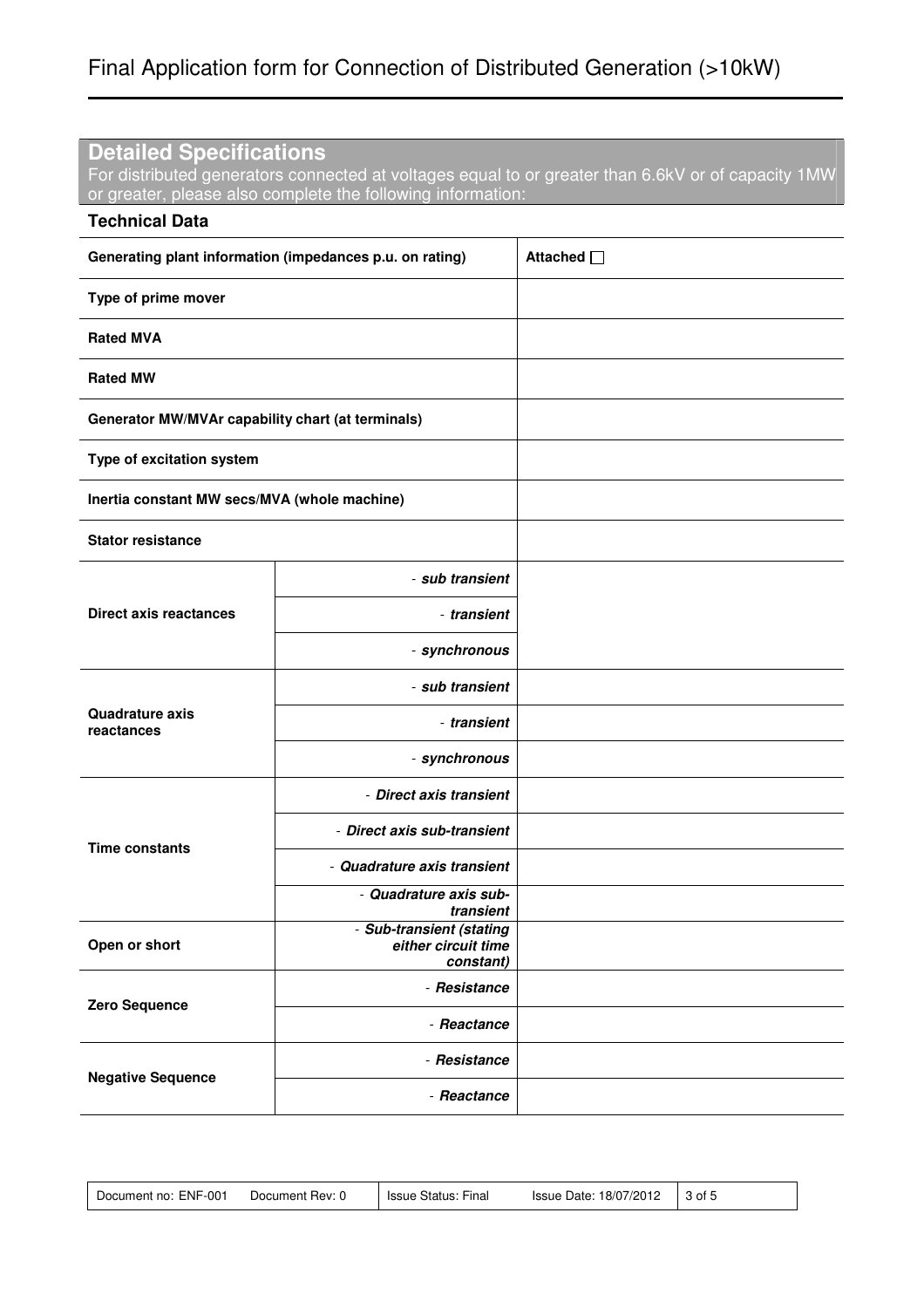### **Detailed Specifications**

For distributed generators connected at voltages equal to or greater than 6.6kV or of capacity 1MW or greater, please also complete the following information:

| <b>Technical Data</b>                                    |                                                              |            |
|----------------------------------------------------------|--------------------------------------------------------------|------------|
| Generating plant information (impedances p.u. on rating) |                                                              | Attached □ |
| Type of prime mover                                      |                                                              |            |
| <b>Rated MVA</b>                                         |                                                              |            |
| <b>Rated MW</b>                                          |                                                              |            |
| Generator MW/MVAr capability chart (at terminals)        |                                                              |            |
| Type of excitation system                                |                                                              |            |
| Inertia constant MW secs/MVA (whole machine)             |                                                              |            |
| <b>Stator resistance</b>                                 |                                                              |            |
|                                                          | - sub transient                                              |            |
| <b>Direct axis reactances</b>                            | - transient                                                  |            |
|                                                          | - synchronous                                                |            |
|                                                          | - sub transient                                              |            |
| <b>Quadrature axis</b><br>reactances                     | - transient                                                  |            |
|                                                          | - synchronous                                                |            |
|                                                          | - Direct axis transient                                      |            |
| <b>Time constants</b>                                    | - Direct axis sub-transient                                  |            |
|                                                          | - Quadrature axis transient                                  |            |
|                                                          | - Quadrature axis sub-<br>transient                          |            |
| Open or short                                            | - Sub-transient (stating<br>either circuit time<br>constant) |            |
|                                                          | - Resistance                                                 |            |
| Zero Sequence                                            | - Reactance                                                  |            |
| <b>Negative Sequence</b>                                 | - Resistance                                                 |            |
|                                                          | - Reactance                                                  |            |

| Document no: ENF-001 | Document Rev: 0 | Issue Status: Final | 18/07/2012<br>Issue Date: | 3 of 5 |  |
|----------------------|-----------------|---------------------|---------------------------|--------|--|
|----------------------|-----------------|---------------------|---------------------------|--------|--|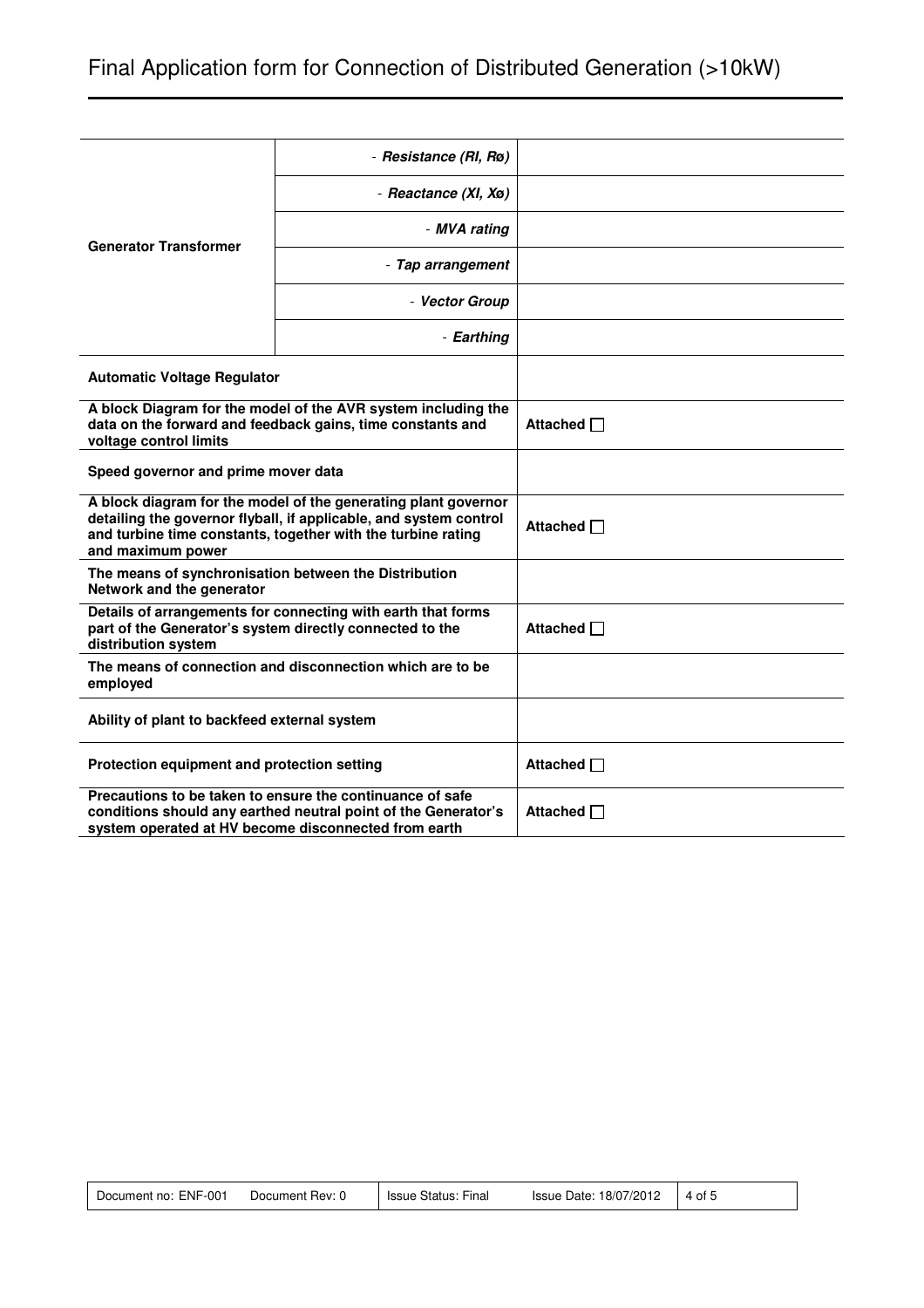|                                                                                                                                                                                                                          | - Resistance (RI, Rø)                                                                                                       |                 |
|--------------------------------------------------------------------------------------------------------------------------------------------------------------------------------------------------------------------------|-----------------------------------------------------------------------------------------------------------------------------|-----------------|
|                                                                                                                                                                                                                          | - Reactance (XI, Xø)                                                                                                        |                 |
| <b>Generator Transformer</b>                                                                                                                                                                                             | - MVA rating                                                                                                                |                 |
|                                                                                                                                                                                                                          | - Tap arrangement                                                                                                           |                 |
|                                                                                                                                                                                                                          | - Vector Group                                                                                                              |                 |
|                                                                                                                                                                                                                          | - Earthing                                                                                                                  |                 |
| <b>Automatic Voltage Regulator</b>                                                                                                                                                                                       |                                                                                                                             |                 |
| voltage control limits                                                                                                                                                                                                   | A block Diagram for the model of the AVR system including the<br>data on the forward and feedback gains, time constants and | Attached $\Box$ |
| Speed governor and prime mover data                                                                                                                                                                                      |                                                                                                                             |                 |
| A block diagram for the model of the generating plant governor<br>detailing the governor flyball, if applicable, and system control<br>and turbine time constants, together with the turbine rating<br>and maximum power |                                                                                                                             | Attached $\Box$ |
| The means of synchronisation between the Distribution<br>Network and the generator                                                                                                                                       |                                                                                                                             |                 |
| distribution system                                                                                                                                                                                                      | Details of arrangements for connecting with earth that forms<br>part of the Generator's system directly connected to the    | Attached □      |
| The means of connection and disconnection which are to be<br>employed                                                                                                                                                    |                                                                                                                             |                 |
| Ability of plant to backfeed external system                                                                                                                                                                             |                                                                                                                             |                 |
| Protection equipment and protection setting                                                                                                                                                                              |                                                                                                                             | Attached $\Box$ |
| Precautions to be taken to ensure the continuance of safe<br>conditions should any earthed neutral point of the Generator's<br>system operated at HV become disconnected from earth                                      |                                                                                                                             | Attached □      |